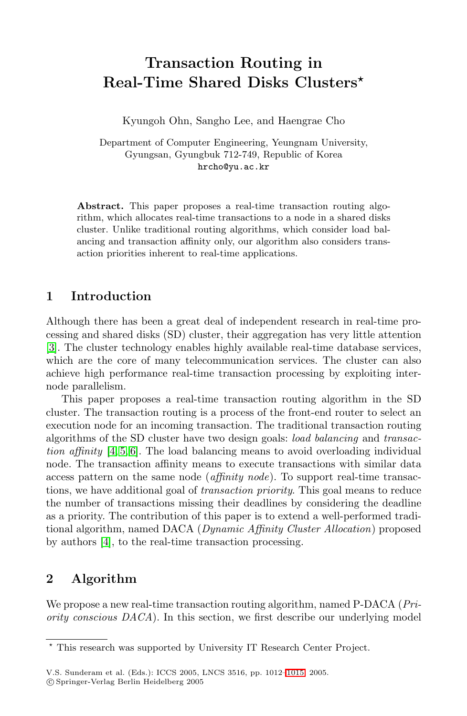# **Transaction Routing in Real-Time Shared Disks Clusters**

Kyungoh Ohn, Sangho Lee, and Haengrae Cho

Department of Computer Engineering, Yeungnam University, Gyungsan, Gyungbuk 712-749, Republic of Korea hrcho@yu.ac.kr

**Abstract.** This paper proposes a real-time transaction routing algorithm, which allocates real-time transactions to a node in a shared disks cluster. Unlike traditional routing algorithms, which consider load balancing and transaction affinity only, our algorithm also considers transaction priorities inherent to real-time applications.

# **1 Introduction**

Although there has been a great deal of independent research in real-time processing and shared disks (SD) cluster, their aggregation has very little attention [\[3\]](#page-3-0). The cluster technology enables highly available real-time database services, which are the core of many telecommunication services. The cluster can also achieve high performance real-time transaction processing by exploiting internode parallelism.

This paper proposes a real-time transaction routing algorithm in the SD cluster. The transaction routing is a process of the front-end router to select an execution node for an incoming transaction. The traditional transaction routing algorithms of the SD cluster have two design goals: *load balancing* and *transaction affinity* [\[4,](#page-3-1) [5,](#page-3-2) [6\]](#page-3-3). The load balancing means to avoid overloading individual node. The transaction affinity means to execute transactions with similar data access pattern on the same node (*affinity node*). To support real-time transactions, we have additional goal of *transaction priority*. This goal means to reduce the number of transactions missing their deadlines by considering the deadline as a priority. The contribution of this paper is to extend a well-performed traditional algorithm, named DACA (*Dynamic Affinity Cluster Allocation*) proposed by authors [\[4\]](#page-3-1), to the real-time transaction processing.

### **2 Algorithm**

We propose a new real-time transaction routing algorithm, named P-DACA (*Priority conscious DACA*). In this section, we first describe our underlying model

<sup>\*</sup> This research was supported by University IT Research Center Project.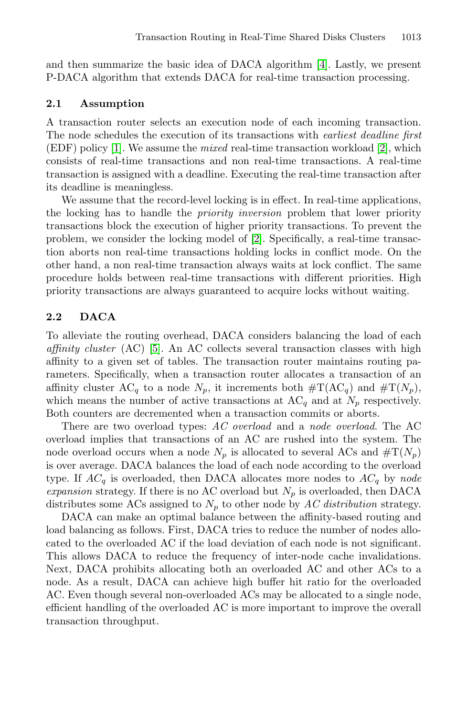and then summarize the basic idea of DACA algorithm [\[4\]](#page-3-1). Lastly, we present P-DACA algorithm that extends DACA for real-time transaction processing.

#### **2.1 Assumption**

A transaction router selects an execution node of each incoming transaction. The node schedules the execution of its transactions with *earliest deadline first* (EDF) policy [\[1\]](#page-3-5). We assume the *mixed* real-time transaction workload [\[2\]](#page-3-6), which consists of real-time transactions and non real-time transactions. A real-time transaction is assigned with a deadline. Executing the real-time transaction after its deadline is meaningless.

We assume that the record-level locking is in effect. In real-time applications, the locking has to handle the *priority inversion* problem that lower priority transactions block the execution of higher priority transactions. To prevent the problem, we consider the locking model of [\[2\]](#page-3-6). Specifically, a real-time transaction aborts non real-time transactions holding locks in conflict mode. On the other hand, a non real-time transaction always waits at lock conflict. The same procedure holds between real-time transactions with different priorities. High priority transactions are always guaranteed to acquire locks without waiting.

#### **2.2 DACA**

To alleviate the routing overhead, DACA considers balancing the load of each *affinity cluster* (AC) [\[5\]](#page-3-2). An AC collects several transaction classes with high affinity to a given set of tables. The transaction router maintains routing parameters. Specifically, when a transaction router allocates a transaction of an affinity cluster AC<sub>q</sub> to a node  $N_p$ , it increments both  $\#T(AC_q)$  and  $\#T(N_p)$ , which means the number of active transactions at  $AC_q$  and at  $N_p$  respectively. Both counters are decremented when a transaction commits or aborts.

There are two overload types: *AC overload* and a *node overload*. The AC overload implies that transactions of an AC are rushed into the system. The node overload occurs when a node  $N_p$  is allocated to several ACs and  $\#T(N_p)$ is over average. DACA balances the load of each node according to the overload type. If  $AC_q$  is overloaded, then DACA allocates more nodes to  $AC_q$  by node *expansion* strategy. If there is no AC overload but  $N_p$  is overloaded, then DACA distributes some ACs assigned to  $N_p$  to other node by AC distribution strategy.

DACA can make an optimal balance between the affinity-based routing and load balancing as follows. First, DACA tries to reduce the number of nodes allocated to the overloaded AC if the load deviation of each node is not significant. This allows DACA to reduce the frequency of inter-node cache invalidations. Next, DACA prohibits allocating both an overloaded AC and other ACs to a node. As a result, DACA can achieve high buffer hit ratio for the overloaded AC. Even though several non-overloaded ACs may be allocated to a single node, efficient handling of the overloaded AC is more important to improve the overall transaction throughput.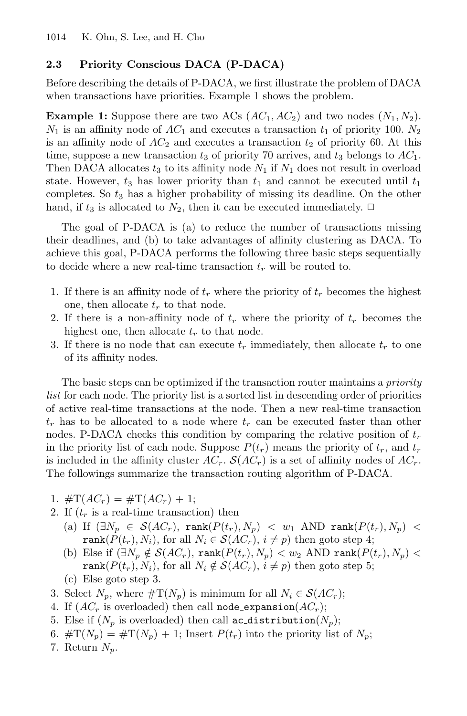#### **2.3 Priority Conscious DACA (P-DACA)**

Before describing the details of P-DACA, we first illustrate the problem of DACA when transactions have priorities. Example 1 shows the problem.

**Example 1:** Suppose there are two ACs  $(AC_1, AC_2)$  and two nodes  $(N_1, N_2)$ .  $N_1$  is an affinity node of  $AC_1$  and executes a transaction  $t_1$  of priority 100.  $N_2$ is an affinity node of  $AC_2$  and executes a transaction  $t_2$  of priority 60. At this time, suppose a new transaction  $t_3$  of priority 70 arrives, and  $t_3$  belongs to  $AC_1$ . Then DACA allocates  $t_3$  to its affinity node  $N_1$  if  $N_1$  does not result in overload state. However,  $t_3$  has lower priority than  $t_1$  and cannot be executed until  $t_1$ completes. So *t*<sup>3</sup> has a higher probability of missing its deadline. On the other hand, if  $t_3$  is allocated to  $N_2$ , then it can be executed immediately.  $\Box$ 

The goal of P-DACA is (a) to reduce the number of transactions missing their deadlines, and (b) to take advantages of affinity clustering as DACA. To achieve this goal, P-DACA performs the following three basic steps sequentially to decide where a new real-time transaction *t<sup>r</sup>* will be routed to.

- 1. If there is an affinity node of  $t_r$  where the priority of  $t_r$  becomes the highest one, then allocate  $t_r$  to that node.
- 2. If there is a non-affinity node of  $t_r$  where the priority of  $t_r$  becomes the highest one, then allocate  $t_r$  to that node.
- 3. If there is no node that can execute  $t_r$  immediately, then allocate  $t_r$  to one of its affinity nodes.

The basic steps can be optimized if the transaction router maintains a *priority list* for each node. The priority list is a sorted list in descending order of priorities of active real-time transactions at the node. Then a new real-time transaction *t<sup>r</sup>* has to be allocated to a node where *t<sup>r</sup>* can be executed faster than other nodes. P-DACA checks this condition by comparing the relative position of *t<sup>r</sup>* in the priority list of each node. Suppose  $P(t_r)$  means the priority of  $t_r$ , and  $t_r$ is included in the affinity cluster  $AC_r$ .  $S(AC_r)$  is a set of affinity nodes of  $AC_r$ . The followings summarize the transaction routing algorithm of P-DACA.

- 1.  $\#T(AC_r) = \#T(AC_r) + 1;$
- 2. If  $(t_r)$  is a real-time transaction) then
	- (a) If  $(\exists N_p \in S(AC_r), \text{rank}(P(t_r), N_p) < w_1$  AND  $\text{rank}(P(t_r), N_p) <$ rank $(P(t_r), N_i)$ , for all  $N_i \in S(AC_r)$ ,  $i \neq p$ ) then goto step 4;
	- (b) Else if  $(\exists N_p \notin \mathcal{S}(AC_r), \text{rank}(P(t_r), N_p) < w_2 \text{ AND rank}(P(t_r), N_p) <$ rank $(P(t_r), N_i)$ , for all  $N_i \notin S(AC_r)$ ,  $i \neq p$ ) then goto step 5;
	- (c) Else goto step 3.
- 3. Select  $N_p$ , where  $\#T(N_p)$  is minimum for all  $N_i \in S(AC_r)$ ;
- 4. If  $(AC_r$  is overloaded) then call **node\_expansion** $(AC_r)$ ;
- 5. Else if  $(N_p$  is overloaded) then call ac distribution $(N_p)$ ;
- 6.  $\#T(N_p) = \#T(N_p) + 1$ ; Insert  $P(t_r)$  into the priority list of  $N_p$ ;
- 7. Return  $N_p$ .